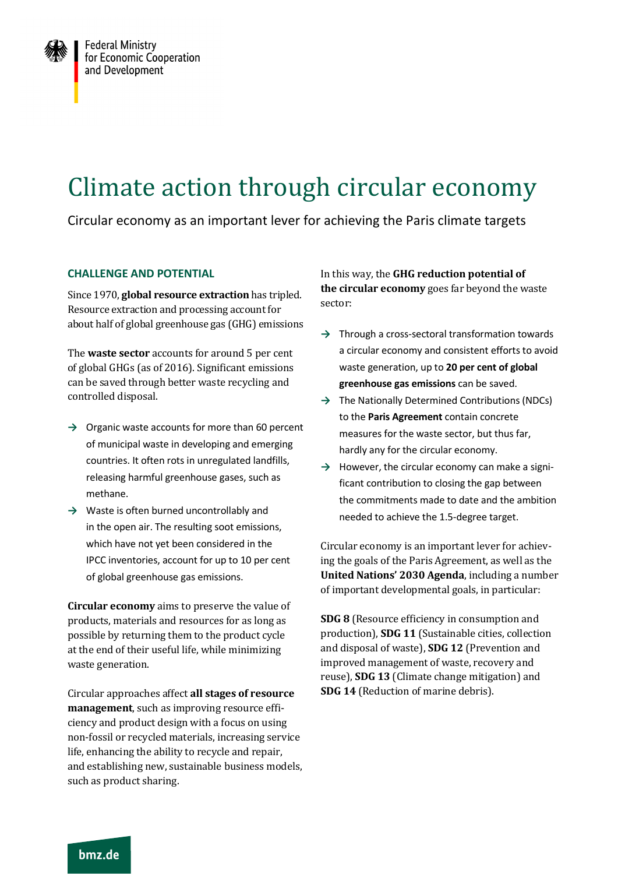

## Climate action through circular economy

Circular economy as an important lever for achieving the Paris climate targets

## **CHALLENGE AND POTENTIAL**

Since 1970, **global resource extraction** has tripled. Resource extraction and processing account for about half of global greenhouse gas (GHG) emissions

The **waste sector** accounts for around 5 per cent of global GHGs (as of 2016). Significant emissions can be saved through better waste recycling and controlled disposal.

- **→** Organic waste accounts for more than 60 percent of municipal waste in developing and emerging countries. It often rots in unregulated landfills, releasing harmful greenhouse gases, such as methane.
- **→** Waste is often burned uncontrollably and in the open air. The resulting soot emissions, which have not yet been considered in the IPCC inventories, account for up to 10 per cent of global greenhouse gas emissions.

**Circular economy** aims to preserve the value of products, materials and resources for as long as possible by returning them to the product cycle at the end of their useful life, while minimizing waste generation.

Circular approaches affect **all stages of resource management**, such as improving resource efficiency and product design with a focus on using non-fossil or recycled materials, increasing service life, enhancing the ability to recycle and repair, and establishing new, sustainable business models, such as product sharing.

In this way, the **GHG reduction potential of the circular economy** goes far beyond the waste sector:

- **→** Through a cross-sectoral transformation towards a circular economy and consistent efforts to avoid waste generation, up to **20 per cent of global greenhouse gas emissions** can be saved.
- **→** The Nationally Determined Contributions (NDCs) to the **Paris Agreement** contain concrete measures for the waste sector, but thus far, hardly any for the circular economy.
- **→** However, the circular economy can make a significant contribution to closing the gap between the commitments made to date and the ambition needed to achieve the 1.5-degree target.

Circular economy is an important lever for achieving the goals of the Paris Agreement, as well as the **United Nations' 2030 Agenda**, including a number of important developmental goals, in particular:

**SDG 8** (Resource efficiency in consumption and production), **SDG 11** (Sustainable cities, collection and disposal of waste), **SDG 12** (Prevention and improved management of waste, recovery and reuse), **SDG 13** (Climate change mitigation) and **SDG 14** (Reduction of marine debris).

bmz.de